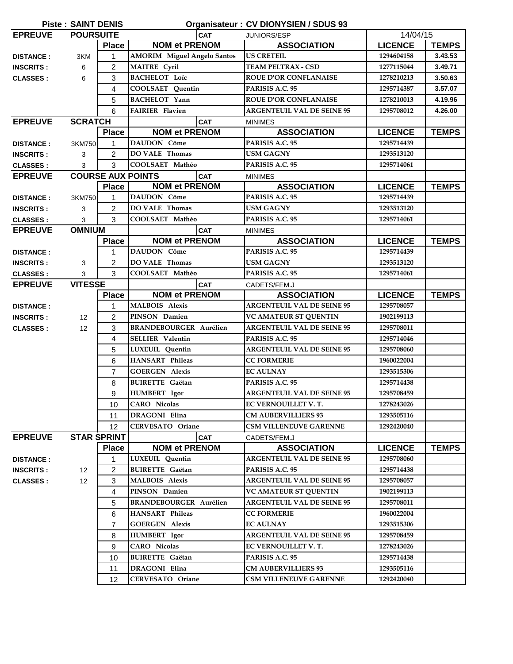| <b>Piste: SAINT DENIS</b><br>Organisateur: CV DIONYSIEN / SDUS 93 |                    |                |                                        |                                   |                |              |
|-------------------------------------------------------------------|--------------------|----------------|----------------------------------------|-----------------------------------|----------------|--------------|
| <b>EPREUVE</b>                                                    | <b>POURSUITE</b>   |                | <b>CAT</b>                             | JUNIORS/ESP                       | 14/04/15       |              |
|                                                                   |                    | <b>Place</b>   | <b>NOM et PRENOM</b>                   | <b>ASSOCIATION</b>                | <b>LICENCE</b> | <b>TEMPS</b> |
| <b>DISTANCE:</b>                                                  | 3KM                | 1              | <b>AMORIM</b> Miguel Angelo Santos     | <b>US CRETEIL</b>                 | 1294604158     | 3.43.53      |
| <b>INSCRITS:</b>                                                  | 6                  | $\overline{2}$ | <b>MAITRE</b> Cyril                    | <b>TEAM PELTRAX - CSD</b>         | 1277115044     | 3.49.71      |
| <b>CLASSES:</b>                                                   | 6                  | $\mathbf{3}$   | <b>BACHELOT Loïc</b>                   | <b>ROUE D'OR CONFLANAISE</b>      | 1278210213     | 3.50.63      |
|                                                                   |                    | 4              | COOLSAET Quentin                       | PARISIS A.C. 95                   | 1295714387     | 3.57.07      |
|                                                                   |                    | 5              | <b>BACHELOT</b> Yann                   | <b>ROUE D'OR CONFLANAISE</b>      | 1278210013     | 4.19.96      |
|                                                                   |                    | 6              | <b>FAIRIER Flavien</b>                 | <b>ARGENTEUIL VAL DE SEINE 95</b> | 1295708012     | 4.26.00      |
| <b>EPREUVE</b>                                                    | <b>SCRATCH</b>     |                | <b>CAT</b>                             | <b>MINIMES</b>                    |                |              |
|                                                                   |                    | <b>Place</b>   | <b>NOM et PRENOM</b>                   | <b>ASSOCIATION</b>                | <b>LICENCE</b> | <b>TEMPS</b> |
| <b>DISTANCE:</b>                                                  | 3KM750             | $\mathbf{1}$   | <b>DAUDON</b> Côme                     | PARISIS A.C. 95                   | 1295714439     |              |
| <b>INSCRITS:</b>                                                  | 3                  | $\overline{c}$ | <b>DO VALE Thomas</b>                  | <b>USM GAGNY</b>                  | 1293513120     |              |
| <b>CLASSES:</b>                                                   | 3                  | 3              | COOLSAET Mathéo                        | PARISIS A.C. 95                   | 1295714061     |              |
| <b>EPREUVE</b>                                                    |                    |                | <b>COURSE AUX POINTS</b><br><b>CAT</b> | <b>MINIMES</b>                    |                |              |
|                                                                   |                    | <b>Place</b>   | <b>NOM et PRENOM</b>                   | <b>ASSOCIATION</b>                | <b>LICENCE</b> | <b>TEMPS</b> |
| <b>DISTANCE:</b>                                                  | 3KM750             | 1              | DAUDON Côme                            | PARISIS A.C. 95                   | 1295714439     |              |
| <b>INSCRITS:</b>                                                  | 3                  | 2              | <b>DO VALE Thomas</b>                  | <b>USM GAGNY</b>                  | 1293513120     |              |
| <b>CLASSES:</b>                                                   | 3                  | 3              | COOLSAET Mathéo                        | PARISIS A.C. 95                   | 1295714061     |              |
| <b>EPREUVE</b>                                                    | <b>OMNIUM</b>      |                | <b>CAT</b>                             | <b>MINIMES</b>                    |                |              |
|                                                                   |                    | <b>Place</b>   | <b>NOM et PRENOM</b>                   | <b>ASSOCIATION</b>                | <b>LICENCE</b> | <b>TEMPS</b> |
| <b>DISTANCE:</b>                                                  |                    | $\mathbf 1$    | DAUDON Côme                            | PARISIS A.C. 95                   | 1295714439     |              |
| <b>INSCRITS:</b>                                                  | 3                  | 2              | <b>DO VALE Thomas</b>                  | <b>USM GAGNY</b>                  | 1293513120     |              |
| <b>CLASSES:</b>                                                   | 3                  | 3              | COOLSAET Mathéo                        | PARISIS A.C. 95                   | 1295714061     |              |
| <b>EPREUVE</b>                                                    | <b>VITESSE</b>     |                | <b>CAT</b>                             | CADETS/FEM.J                      |                |              |
|                                                                   |                    | <b>Place</b>   | <b>NOM et PRENOM</b>                   | <b>ASSOCIATION</b>                | <b>LICENCE</b> | <b>TEMPS</b> |
| <b>DISTANCE:</b>                                                  |                    | 1              | <b>MALBOIS Alexis</b>                  | <b>ARGENTEUIL VAL DE SEINE 95</b> | 1295708057     |              |
| <b>INSCRITS:</b>                                                  | 12                 | $\overline{c}$ | PINSON Damien                          | <b>VC AMATEUR ST QUENTIN</b>      | 1902199113     |              |
| <b>CLASSES:</b>                                                   | 12                 | 3              | <b>BRANDEBOURGER Aurélien</b>          | <b>ARGENTEUIL VAL DE SEINE 95</b> | 1295708011     |              |
|                                                                   |                    | 4              | <b>SELLIER Valentin</b>                | PARISIS A.C. 95                   | 1295714046     |              |
|                                                                   |                    | 5              | LUXEUIL Quentin                        | <b>ARGENTEUIL VAL DE SEINE 95</b> | 1295708060     |              |
|                                                                   |                    | 6              | <b>HANSART Phileas</b>                 | <b>CC FORMERIE</b>                | 1960022004     |              |
|                                                                   |                    | $\overline{7}$ | <b>GOERGEN Alexis</b>                  | <b>EC AULNAY</b>                  | 1293515306     |              |
|                                                                   |                    | 8              | <b>BUIRETTE</b> Gaëtan                 | PARISIS A.C. 95                   | 1295714438     |              |
|                                                                   |                    | 9              | HUMBERT Igor                           | <b>ARGENTEUIL VAL DE SEINE 95</b> | 1295708459     |              |
|                                                                   |                    | 10             | <b>CARO</b> Nicolas                    | EC VERNOUILLET V.T.               | 1278243026     |              |
|                                                                   |                    | 11             | DRAGONI Elina                          | <b>CM AUBERVILLIERS 93</b>        | 1293505116     |              |
|                                                                   |                    | 12             | <b>CERVESATO Oriane</b>                | <b>CSM VILLENEUVE GARENNE</b>     | 1292420040     |              |
| <b>EPREUVE</b>                                                    | <b>STAR SPRINT</b> |                | <b>CAT</b>                             | CADETS/FEM.J                      |                |              |
|                                                                   |                    | <b>Place</b>   | <b>NOM et PRENOM</b>                   | <b>ASSOCIATION</b>                | <b>LICENCE</b> | <b>TEMPS</b> |
| <b>DISTANCE:</b>                                                  |                    | 1              | <b>LUXEUIL</b> Ouentin                 | <b>ARGENTEUIL VAL DE SEINE 95</b> | 1295708060     |              |
| <b>INSCRITS:</b>                                                  | 12                 | 2              | <b>BUIRETTE Gaëtan</b>                 | PARISIS A.C. 95                   | 1295714438     |              |
| <b>CLASSES:</b>                                                   | 12                 | 3              | <b>MALBOIS Alexis</b>                  | <b>ARGENTEUIL VAL DE SEINE 95</b> | 1295708057     |              |
|                                                                   |                    | 4              | PINSON Damien                          | <b>VC AMATEUR ST QUENTIN</b>      | 1902199113     |              |
|                                                                   |                    | 5              | <b>BRANDEBOURGER Aurélien</b>          | <b>ARGENTEUIL VAL DE SEINE 95</b> | 1295708011     |              |
|                                                                   |                    | 6              | <b>HANSART</b> Phileas                 | <b>CC FORMERIE</b>                | 1960022004     |              |
|                                                                   |                    | $\overline{7}$ | <b>GOERGEN Alexis</b>                  | <b>EC AULNAY</b>                  | 1293515306     |              |
|                                                                   |                    | 8              | <b>HUMBERT</b> Igor                    | <b>ARGENTEUIL VAL DE SEINE 95</b> | 1295708459     |              |
|                                                                   |                    | 9              | <b>CARO</b> Nicolas                    | EC VERNOUILLET V.T.               | 1278243026     |              |
|                                                                   |                    | 10             | <b>BUIRETTE</b> Gaëtan                 | PARISIS A.C. 95                   | 1295714438     |              |
|                                                                   |                    | 11             | <b>DRAGONI</b> Elina                   | <b>CM AUBERVILLIERS 93</b>        | 1293505116     |              |
|                                                                   |                    | 12             | <b>CERVESATO Oriane</b>                | <b>CSM VILLENEUVE GARENNE</b>     | 1292420040     |              |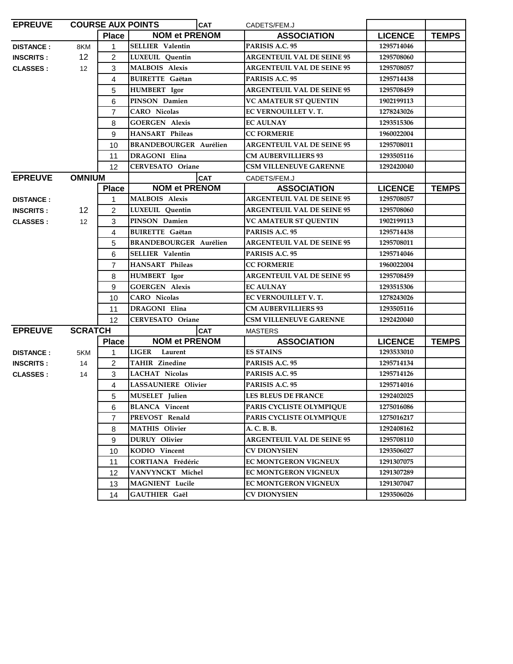| <b>EPREUVE</b>   |                 |                | <b>COURSE AUX POINTS</b><br><b>CAT</b> | CADETS/FEM.J                      |                |              |
|------------------|-----------------|----------------|----------------------------------------|-----------------------------------|----------------|--------------|
|                  |                 | <b>Place</b>   | <b>NOM et PRENOM</b>                   | <b>ASSOCIATION</b>                | <b>LICENCE</b> | <b>TEMPS</b> |
| <b>DISTANCE:</b> | 8KM             | $\mathbf{1}$   | <b>SELLIER Valentin</b>                | PARISIS A.C. 95                   | 1295714046     |              |
| <b>INSCRITS:</b> | 12 <sup>°</sup> | $\overline{2}$ | LUXEUIL Quentin                        | <b>ARGENTEUIL VAL DE SEINE 95</b> | 1295708060     |              |
| <b>CLASSES:</b>  | 12 <sup>°</sup> | 3              | <b>MALBOIS Alexis</b>                  | <b>ARGENTEUIL VAL DE SEINE 95</b> | 1295708057     |              |
|                  |                 | 4              | <b>BUIRETTE</b> Gaëtan                 | PARISIS A.C. 95                   | 1295714438     |              |
|                  |                 | 5              | <b>HUMBERT</b> Igor                    | <b>ARGENTEUIL VAL DE SEINE 95</b> | 1295708459     |              |
|                  |                 | 6              | PINSON Damien                          | <b>VC AMATEUR ST QUENTIN</b>      | 1902199113     |              |
|                  |                 | $\overline{7}$ | <b>CARO</b> Nicolas                    | EC VERNOUILLET V.T.               | 1278243026     |              |
|                  |                 | 8              | <b>GOERGEN Alexis</b>                  | <b>EC AULNAY</b>                  | 1293515306     |              |
|                  |                 | 9              | <b>HANSART Phileas</b>                 | <b>CC FORMERIE</b>                | 1960022004     |              |
|                  |                 | 10             | <b>BRANDEBOURGER Aurélien</b>          | <b>ARGENTEUIL VAL DE SEINE 95</b> | 1295708011     |              |
|                  |                 | 11             | <b>DRAGONI Elina</b>                   | <b>CM AUBERVILLIERS 93</b>        | 1293505116     |              |
|                  |                 | 12             | <b>CERVESATO Oriane</b>                | <b>CSM VILLENEUVE GARENNE</b>     | 1292420040     |              |
| <b>EPREUVE</b>   | <b>OMNIUM</b>   |                | <b>CAT</b>                             | CADETS/FEM.J                      |                |              |
|                  |                 | <b>Place</b>   | <b>NOM et PRENOM</b>                   | <b>ASSOCIATION</b>                | <b>LICENCE</b> | <b>TEMPS</b> |
| <b>DISTANCE:</b> |                 | $\mathbf{1}$   | <b>MALBOIS</b> Alexis                  | <b>ARGENTEUIL VAL DE SEINE 95</b> | 1295708057     |              |
| <b>INSCRITS:</b> | 12              | $\overline{c}$ | <b>LUXEUIL</b> Ouentin                 | <b>ARGENTEUIL VAL DE SEINE 95</b> | 1295708060     |              |
| <b>CLASSES:</b>  | 12              | 3              | PINSON Damien                          | <b>VC AMATEUR ST QUENTIN</b>      | 1902199113     |              |
|                  |                 | 4              | <b>BUIRETTE Gaëtan</b>                 | PARISIS A.C. 95                   | 1295714438     |              |
|                  |                 | 5              | <b>BRANDEBOURGER Aurélien</b>          | <b>ARGENTEUIL VAL DE SEINE 95</b> | 1295708011     |              |
|                  |                 | 6              | <b>SELLIER Valentin</b>                | PARISIS A.C. 95                   | 1295714046     |              |
|                  |                 | $\overline{7}$ | <b>HANSART Phileas</b>                 | <b>CC FORMERIE</b>                | 1960022004     |              |
|                  |                 | 8              | <b>HUMBERT</b> Igor                    | <b>ARGENTEUIL VAL DE SEINE 95</b> | 1295708459     |              |
|                  |                 | 9              | <b>GOERGEN Alexis</b>                  | <b>EC AULNAY</b>                  | 1293515306     |              |
|                  |                 | 10             | <b>CARO</b> Nicolas                    | EC VERNOUILLET V.T.               | 1278243026     |              |
|                  |                 | 11             | DRAGONI Elina                          | <b>CM AUBERVILLIERS 93</b>        | 1293505116     |              |
|                  |                 | 12             | <b>CERVESATO Oriane</b>                | <b>CSM VILLENEUVE GARENNE</b>     | 1292420040     |              |
| <b>EPREUVE</b>   | <b>SCRATCH</b>  |                | <b>CAT</b>                             | <b>MASTERS</b>                    |                |              |
|                  |                 | <b>Place</b>   | <b>NOM et PRENOM</b>                   | <b>ASSOCIATION</b>                | <b>LICENCE</b> | <b>TEMPS</b> |
| <b>DISTANCE:</b> | 5KM             | $\mathbf{1}$   | <b>LIGER</b><br>Laurent                | <b>ES STAINS</b>                  | 1293533010     |              |
| <b>INSCRITS:</b> | 14              | 2              | <b>TAHIR Zinedine</b>                  | PARISIS A.C. 95                   | 1295714134     |              |
| <b>CLASSES:</b>  | 14              | 3              | <b>LACHAT Nicolas</b>                  | PARISIS A.C. 95                   | 1295714126     |              |
|                  |                 | $\overline{4}$ | <b>LASSAUNIERE Olivier</b>             | PARISIS A.C. 95                   | 1295714016     |              |
|                  |                 | 5              | MUSELET Julien                         | <b>LES BLEUS DE FRANCE</b>        | 1292402025     |              |
|                  |                 | 6              | <b>BLANCA Vincent</b>                  | PARIS CYCLISTE OLYMPIQUE          | 1275016086     |              |
|                  |                 | $\overline{7}$ | PREVOST Renald                         | PARIS CYCLISTE OLYMPIQUE          | 1275016217     |              |
|                  |                 | 8              | <b>MATHIS Olivier</b>                  | A. C. B. B.                       | 1292408162     |              |
|                  |                 | 9              | DURUY Olivier                          | <b>ARGENTEUIL VAL DE SEINE 95</b> | 1295708110     |              |
|                  |                 | 10             | KODIO Vincent                          | <b>CV DIONYSIEN</b>               | 1293506027     |              |
|                  |                 | 11             | CORTIANA Frédéric                      | EC MONTGERON VIGNEUX              | 1291307075     |              |
|                  |                 | 12             | VANVYNCKT Michel                       | <b>EC MONTGERON VIGNEUX</b>       | 1291307289     |              |
|                  |                 | 13             | <b>MAGNIENT</b> Lucile                 | <b>EC MONTGERON VIGNEUX</b>       | 1291307047     |              |
|                  |                 | 14             | <b>GAUTHIER Gaël</b>                   | <b>CV DIONYSIEN</b>               | 1293506026     |              |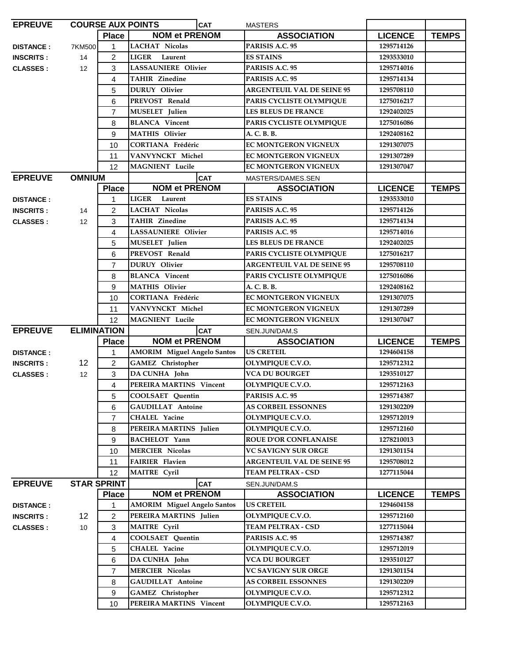| <b>EPREUVE</b>   |                    |                    | <b>COURSE AUX POINTS</b><br><b>CAT</b> | <b>MASTERS</b>                    |                |              |
|------------------|--------------------|--------------------|----------------------------------------|-----------------------------------|----------------|--------------|
|                  |                    | <b>Place</b>       | <b>NOM et PRENOM</b>                   | <b>ASSOCIATION</b>                | <b>LICENCE</b> | <b>TEMPS</b> |
| <b>DISTANCE:</b> | 7KM500             | 1                  | <b>LACHAT Nicolas</b>                  | PARISIS A.C. 95                   | 1295714126     |              |
| <b>INSCRITS:</b> | 14                 | $\overline{c}$     | <b>LIGER</b><br>Laurent                | <b>ES STAINS</b>                  | 1293533010     |              |
| <b>CLASSES:</b>  | 12                 | 3                  | <b>LASSAUNIERE Olivier</b>             | PARISIS A.C. 95                   | 1295714016     |              |
|                  |                    | 4                  | <b>TAHIR Zinedine</b>                  | PARISIS A.C. 95                   | 1295714134     |              |
|                  |                    | 5                  | <b>DURUY</b> Olivier                   | <b>ARGENTEUIL VAL DE SEINE 95</b> | 1295708110     |              |
|                  |                    | 6                  | PREVOST Renald                         | PARIS CYCLISTE OLYMPIQUE          | 1275016217     |              |
|                  |                    | 7                  | <b>MUSELET</b> Julien                  | <b>LES BLEUS DE FRANCE</b>        | 1292402025     |              |
|                  |                    | 8                  | <b>BLANCA</b> Vincent                  | PARIS CYCLISTE OLYMPIQUE          | 1275016086     |              |
|                  |                    | 9                  | <b>MATHIS Olivier</b>                  | A. C. B. B.                       | 1292408162     |              |
|                  |                    | 10                 | <b>CORTIANA Frédéric</b>               | <b>EC MONTGERON VIGNEUX</b>       | 1291307075     |              |
|                  |                    | 11                 | VANVYNCKT Michel                       | <b>EC MONTGERON VIGNEUX</b>       | 1291307289     |              |
|                  |                    | 12                 | <b>MAGNIENT</b> Lucile                 | <b>EC MONTGERON VIGNEUX</b>       | 1291307047     |              |
| <b>EPREUVE</b>   | <b>OMNIUM</b>      |                    | <b>CAT</b>                             | MASTERS/DAMES.SEN                 |                |              |
|                  |                    | <b>Place</b>       | <b>NOM et PRENOM</b>                   | <b>ASSOCIATION</b>                | <b>LICENCE</b> | <b>TEMPS</b> |
| <b>DISTANCE:</b> |                    | 1                  | <b>LIGER</b><br>Laurent                | <b>ES STAINS</b>                  | 1293533010     |              |
| <b>INSCRITS:</b> | 14                 | $\overline{2}$     | <b>LACHAT Nicolas</b>                  | PARISIS A.C. 95                   | 1295714126     |              |
| <b>CLASSES:</b>  | 12                 | 3                  | <b>TAHIR Zinedine</b>                  | PARISIS A.C. 95                   | 1295714134     |              |
|                  |                    | 4                  | <b>LASSAUNIERE Olivier</b>             | PARISIS A.C. 95                   | 1295714016     |              |
|                  |                    | 5                  | <b>MUSELET</b> Julien                  | <b>LES BLEUS DE FRANCE</b>        | 1292402025     |              |
|                  |                    | 6                  | PREVOST Renald                         | PARIS CYCLISTE OLYMPIQUE          | 1275016217     |              |
|                  |                    | $\overline{7}$     | <b>DURUY</b> Olivier                   | <b>ARGENTEUIL VAL DE SEINE 95</b> | 1295708110     |              |
|                  |                    | 8                  | <b>BLANCA</b> Vincent                  | PARIS CYCLISTE OLYMPIQUE          | 1275016086     |              |
|                  |                    | 9                  | <b>MATHIS Olivier</b>                  | A. C. B. B.                       | 1292408162     |              |
|                  |                    | 10                 | <b>CORTIANA Frédéric</b>               | <b>EC MONTGERON VIGNEUX</b>       | 1291307075     |              |
|                  |                    | 11                 | VANVYNCKT Michel                       | <b>EC MONTGERON VIGNEUX</b>       | 1291307289     |              |
|                  |                    | 12                 | <b>MAGNIENT</b> Lucile                 | EC MONTGERON VIGNEUX              | 1291307047     |              |
| <b>EPREUVE</b>   | <b>ELIMINATION</b> |                    | <b>CAT</b>                             | SEN.JUN/DAM.S                     |                |              |
|                  |                    | <b>Place</b>       | <b>NOM et PRENOM</b>                   | <b>ASSOCIATION</b>                | <b>LICENCE</b> | <b>TEMPS</b> |
| <b>DISTANCE:</b> |                    | 1                  | <b>AMORIM</b> Miguel Angelo Santos     | <b>US CRETEIL</b>                 | 1294604158     |              |
| <b>INSCRITS:</b> | 12                 | 2                  | <b>GAMEZ</b> Christopher               | OLYMPIQUE C.V.O.                  | 1295712312     |              |
| <b>CLASSES:</b>  | 12                 | 3                  | DA CUNHA John                          | <b>VCA DU BOURGET</b>             | 1293510127     |              |
|                  |                    | 4                  | PEREIRA MARTINS Vincent                | <b>OLYMPIQUE C.V.O.</b>           | 1295712163     |              |
|                  |                    | 5                  | <b>COOLSAET Quentin</b>                | PARISIS A.C. 95                   | 1295714387     |              |
|                  |                    | 6                  | <b>GAUDILLAT Antoine</b>               | <b>AS CORBEIL ESSONNES</b>        | 1291302209     |              |
|                  |                    | 7                  | CHALEL Yacine                          | <b>OLYMPIQUE C.V.O.</b>           | 1295712019     |              |
|                  |                    | 8                  | PEREIRA MARTINS Julien                 | <b>OLYMPIOUE C.V.O.</b>           | 1295712160     |              |
|                  |                    | 9                  | <b>BACHELOT</b> Yann                   | ROUE D'OR CONFLANAISE             | 1278210013     |              |
|                  |                    | 10                 | <b>MERCIER Nicolas</b>                 | <b>VC SAVIGNY SUR ORGE</b>        | 1291301154     |              |
|                  |                    | 11                 | <b>FAIRIER Flavien</b>                 | <b>ARGENTEUIL VAL DE SEINE 95</b> | 1295708012     |              |
|                  |                    | 12                 | <b>MAITRE</b> Cyril                    | <b>TEAM PELTRAX - CSD</b>         | 1277115044     |              |
| <b>EPREUVE</b>   |                    | <b>STAR SPRINT</b> | <b>CAT</b>                             | SEN.JUN/DAM.S                     |                |              |
|                  |                    | <b>Place</b>       | <b>NOM et PRENOM</b>                   | <b>ASSOCIATION</b>                | <b>LICENCE</b> | <b>TEMPS</b> |
| <b>DISTANCE:</b> |                    | 1                  | <b>AMORIM</b> Miguel Angelo Santos     | <b>US CRETEIL</b>                 | 1294604158     |              |
| <b>INSCRITS:</b> | 12                 | 2                  | PEREIRA MARTINS Julien                 | OLYMPIQUE C.V.O.                  | 1295712160     |              |
| <b>CLASSES:</b>  | 10                 | 3                  | <b>MAITRE</b> Cyril                    | TEAM PELTRAX - CSD                | 1277115044     |              |
|                  |                    | 4                  | COOLSAET Quentin                       | PARISIS A.C. 95                   | 1295714387     |              |
|                  |                    | 5                  | CHALEL Yacine                          | <b>OLYMPIQUE C.V.O.</b>           | 1295712019     |              |
|                  |                    | 6                  | DA CUNHA John                          | <b>VCA DU BOURGET</b>             | 1293510127     |              |
|                  |                    | $\overline{7}$     | <b>MERCIER Nicolas</b>                 | VC SAVIGNY SUR ORGE               | 1291301154     |              |
|                  |                    | 8                  | <b>GAUDILLAT Antoine</b>               | <b>AS CORBEIL ESSONNES</b>        | 1291302209     |              |
|                  |                    | 9                  | <b>GAMEZ</b> Christopher               | OLYMPIQUE C.V.O.                  | 1295712312     |              |
|                  |                    | 10                 | PEREIRA MARTINS Vincent                | OLYMPIQUE C.V.O.                  | 1295712163     |              |
|                  |                    |                    |                                        |                                   |                |              |